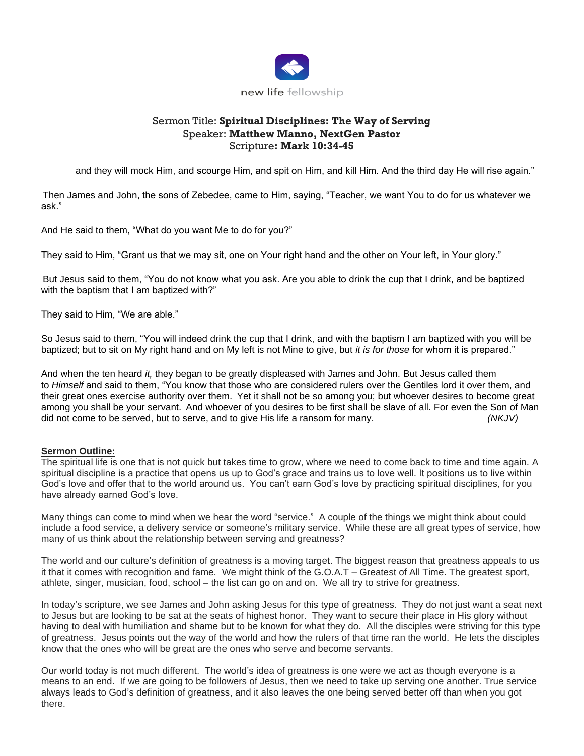

## Sermon Title: **Spiritual Disciplines: The Way of Serving** Speaker: **Matthew Manno, NextGen Pastor** Scripture**: Mark 10:34-45**

and they will mock Him, and scourge Him, and spit on Him, and kill Him. And the third day He will rise again."

Then James and John, the sons of Zebedee, came to Him, saying, "Teacher, we want You to do for us whatever we ask."

And He said to them, "What do you want Me to do for you?"

They said to Him, "Grant us that we may sit, one on Your right hand and the other on Your left, in Your glory."

But Jesus said to them, "You do not know what you ask. Are you able to drink the cup that I drink, and be baptized with the baptism that I am baptized with?"

They said to Him, "We are able."

So Jesus said to them, "You will indeed drink the cup that I drink, and with the baptism I am baptized with you will be baptized; but to sit on My right hand and on My left is not Mine to give, but *it is for those* for whom it is prepared."

And when the ten heard *it,* they began to be greatly displeased with James and John. But Jesus called them to *Himself* and said to them, "You know that those who are considered rulers over the Gentiles lord it over them, and their great ones exercise authority over them. Yet it shall not be so among you; but whoever desires to become great among you shall be your servant. And whoever of you desires to be first shall be slave of all. For even the Son of Man did not come to be served, but to serve, and to give His life a ransom for many. *(NKJV)*

## **Sermon Outline:**

The spiritual life is one that is not quick but takes time to grow, where we need to come back to time and time again. A spiritual discipline is a practice that opens us up to God's grace and trains us to love well. It positions us to live within God's love and offer that to the world around us. You can't earn God's love by practicing spiritual disciplines, for you have already earned God's love.

Many things can come to mind when we hear the word "service." A couple of the things we might think about could include a food service, a delivery service or someone's military service. While these are all great types of service, how many of us think about the relationship between serving and greatness?

The world and our culture's definition of greatness is a moving target. The biggest reason that greatness appeals to us it that it comes with recognition and fame. We might think of the G.O.A.T – Greatest of All Time. The greatest sport, athlete, singer, musician, food, school – the list can go on and on. We all try to strive for greatness.

In today's scripture, we see James and John asking Jesus for this type of greatness. They do not just want a seat next to Jesus but are looking to be sat at the seats of highest honor. They want to secure their place in His glory without having to deal with humiliation and shame but to be known for what they do. All the disciples were striving for this type of greatness. Jesus points out the way of the world and how the rulers of that time ran the world. He lets the disciples know that the ones who will be great are the ones who serve and become servants.

Our world today is not much different. The world's idea of greatness is one were we act as though everyone is a means to an end. If we are going to be followers of Jesus, then we need to take up serving one another. True service always leads to God's definition of greatness, and it also leaves the one being served better off than when you got there.